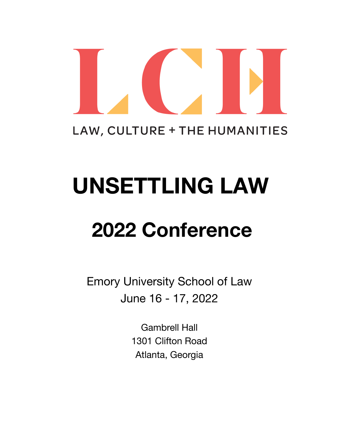

# LAW, CULTURE + THE HUMANITIES

# **UNSETTLING LAW**

# **2022 Conference**

Emory University School of Law June 16 - 17, 2022

> Gambrell Hall 1301 Clifton Road Atlanta, Georgia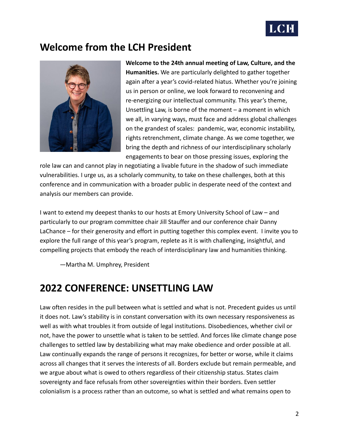

# **Welcome from the LCH President**



**Welcome to the 24th annual meeting of Law, Culture, and the Humanities.** We are particularly delighted to gather together again after a year's covid-related hiatus. Whether you're joining us in person or online, we look forward to reconvening and re-energizing our intellectual community. This year's theme, Unsettling Law, is borne of the moment – a moment in which we all, in varying ways, must face and address global challenges on the grandest of scales: pandemic, war, economic instability, rights retrenchment, climate change. As we come together, we bring the depth and richness of our interdisciplinary scholarly engagements to bear on those pressing issues, exploring the

role law can and cannot play in negotiating a livable future in the shadow of such immediate vulnerabilities. I urge us, as a scholarly community, to take on these challenges, both at this conference and in communication with a broader public in desperate need of the context and analysis our members can provide.

I want to extend my deepest thanks to our hosts at Emory University School of Law – and particularly to our program committee chair Jill Stauffer and our conference chair Danny LaChance – for their generosity and effort in putting together this complex event. I invite you to explore the full range of this year's program, replete as it is with challenging, insightful, and compelling projects that embody the reach of interdisciplinary law and humanities thinking.

—Martha M. Umphrey, President

# **2022 CONFERENCE: UNSETTLING LAW**

Law often resides in the pull between what is settled and what is not. Precedent guides us until it does not. Law's stability is in constant conversation with its own necessary responsiveness as well as with what troubles it from outside of legal institutions. Disobediences, whether civil or not, have the power to unsettle what is taken to be settled. And forces like climate change pose challenges to settled law by destabilizing what may make obedience and order possible at all. Law continually expands the range of persons it recognizes, for better or worse, while it claims across all changes that it serves the interests of all. Borders exclude but remain permeable, and we argue about what is owed to others regardless of their citizenship status. States claim sovereignty and face refusals from other sovereignties within their borders. Even settler colonialism is a process rather than an outcome, so what is settled and what remains open to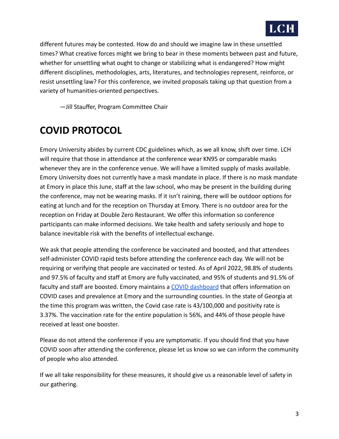

different futures may be contested. How do and should we imagine law in these unsettled times? What creative forces might we bring to bear in these moments between past and future, whether for unsettling what ought to change or stabilizing what is endangered? How might different disciplines, methodologies, arts, literatures, and technologies represent, reinforce, or resist unsettling law? For this conference, we invited proposals taking up that question from a variety of humanities-oriented perspectives.

—Jill Stauffer, Program Committee Chair

# **COVID PROTOCOL**

Emory University abides by current CDC guidelines which, as we all know, shift over time. LCH will require that those in attendance at the conference wear KN95 or comparable masks whenever they are in the conference venue. We will have a limited supply of masks available. Emory University does not currently have a mask mandate in place. If there is no mask mandate at Emory in place this June, staff at the law school, who may be present in the building during the conference, may not be wearing masks. If it isn't raining, there will be outdoor options for eating at lunch and for the reception on Thursday at Emory. There is no outdoor area for the reception on Friday at Double Zero Restaurant. We offer this information so conference participants can make informed decisions. We take health and safety seriously and hope to balance inevitable risk with the benefits of intellectual exchange.

We ask that people attending the conference be vaccinated and boosted, and that attendees self-administer COVID rapid tests before attending the conference each day. We will not be requiring or verifying that people are vaccinated or tested. As of April 2022, 98.8% of students and 97.5% of faculty and staff at Emory are fully vaccinated, and 95% of students and 91.5% of faculty and staff are boosted. Emory maintains a COVID [dashboard](https://www.emory.edu/forward/covid-19/dashboard/index.html) that offers information on COVID cases and prevalence at Emory and the surrounding counties. In the state of Georgia at the time this program was written, the Covid case rate is 43/100,000 and positivity rate is 3.37%. The vaccination rate for the entire population is 56%, and 44% of those people have received at least one booster.

Please do not attend the conference if you are symptomatic. If you should find that you have COVID soon after attending the conference, please let us know so we can inform the community of people who also attended.

If we all take responsibility for these measures, it should give us a reasonable level of safety in our gathering.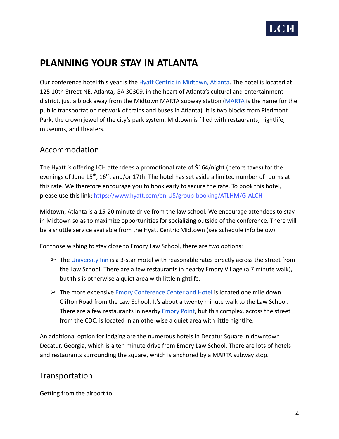

# **PLANNING YOUR STAY IN ATLANTA**

Our conference hotel this year is the Hyatt Centric [in Midtown, Atlanta.](https://www.hyatt.com/en-US/hotel/georgia/hyatt-centric-midtown-atlanta/atlhm?src=adm_sem_crp_chico_crp_ppc_NAM-UnitedStates-GA-Atlanta-CT-ATLHM_google_Evergreen2022_e_hyatt%20centric%20midtown%20atlanta&gclid=Cj0KCQjwmPSSBhCNARIsAH3cYgZDFFFAJojIatv27DL8dklRg9kOD_2AnSMUd5yKCu5WgF5z5XnFclwaAjBdEALw_wcB) The hotel is located at 125 10th Street NE, Atlanta, GA 30309, in the heart of Atlanta's cultural and entertainment district, just a block away from the Midtown MARTA subway station [\(MARTA](https://itsmarta.com/) is the name for the public transportation network of trains and buses in Atlanta). It is two blocks from Piedmont Park, the crown jewel of the city's park system. Midtown is filled with restaurants, nightlife, museums, and theaters.

## Accommodation

The Hyatt is offering LCH attendees a promotional rate of \$164/night (before taxes) for the evenings of June 15<sup>th</sup>, 16<sup>th</sup>, and/or 17th. The hotel has set aside a limited number of rooms at this rate. We therefore encourage you to book early to secure the rate. To book this hotel, please use this link: [https://www.hyatt.com/en-US/group-booking/ATLHM/G-ALCH](https://nam11.safelinks.protection.outlook.com/?url=https%3A%2F%2Fwww.hyatt.com%2Fen-US%2Fgroup-booking%2FATLHM%2FG-ALCH&data=05%7C01%7Cdlachance%40emory.edu%7C5d36fdd36faa49548aa108da2167cac0%7Ce004fb9cb0a4424fbcd0322606d5df38%7C0%7C0%7C637859026920807648%7CUnknown%7CTWFpbGZsb3d8eyJWIjoiMC4wLjAwMDAiLCJQIjoiV2luMzIiLCJBTiI6Ik1haWwiLCJXVCI6Mn0%3D%7C3000%7C%7C%7C&sdata=WbGroZC2cVSFCDc1E5FCtO%2F1vR6fhdMotg9Ho57hQjw%3D&reserved=0)

Midtown, Atlanta is a 15-20 minute drive from the law school. We encourage attendees to stay in Midtown so as to maximize opportunities for socializing outside of the conference. There will be a shuttle service available from the Hyatt Centric Midtown (see schedule info below).

For those wishing to stay close to Emory Law School, there are two options:

- $\triangleright$  The [University Inn](https://www.univinn.com/) is a 3-star motel with reasonable rates directly across the street from the Law School. There are a few restaurants in nearby Emory Village (a 7 minute walk), but this is otherwise a quiet area with little nightlife.
- $\triangleright$  The more expensive *[Emory Conference Center and Hotel](https://www.emoryconferencecenter.com/) is located one mile down* Clifton Road from the Law School. It's about a twenty minute walk to the Law School. There are a few restaurants in nearby **Emory Point**, but this complex, across the street from the CDC, is located in an otherwise a quiet area with little nightlife.

An additional option for lodging are the numerous hotels in Decatur Square in downtown Decatur, Georgia, which is a ten minute drive from Emory Law School. There are lots of hotels and restaurants surrounding the square, which is anchored by a MARTA subway stop.

## Transportation

Getting from the airport to…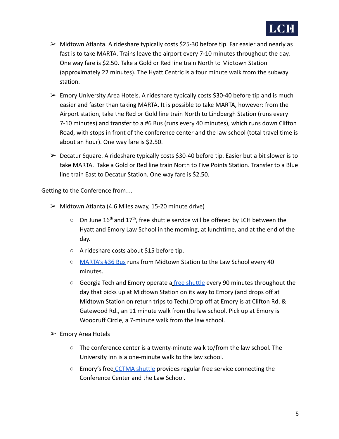

- $\triangleright$  Midtown Atlanta. A rideshare typically costs \$25-30 before tip. Far easier and nearly as fast is to take MARTA. Trains leave the airport every 7-10 minutes throughout the day. One way fare is \$2.50. Take a Gold or Red line train North to Midtown Station (approximately 22 minutes). The Hyatt Centric is a four minute walk from the subway station.
- $\triangleright$  Emory University Area Hotels. A rideshare typically costs \$30-40 before tip and is much easier and faster than taking MARTA. It is possible to take MARTA, however: from the Airport station, take the Red or Gold line train North to Lindbergh Station (runs every 7-10 minutes) and transfer to a #6 Bus (runs every 40 minutes), which runs down Clifton Road, with stops in front of the conference center and the law school (total travel time is about an hour). One way fare is \$2.50.
- $\triangleright$  Decatur Square. A rideshare typically costs \$30-40 before tip. Easier but a bit slower is to take MARTA. Take a Gold or Red line train North to Five Points Station. Transfer to a Blue line train East to Decatur Station. One way fare is \$2.50.

Getting to the Conference from…

- $\triangleright$  Midtown Atlanta (4.6 Miles away, 15-20 minute drive)
	- $\circ$  On June 16<sup>th</sup> and 17<sup>th</sup>, free shuttle service will be offered by LCH between the Hyatt and Emory Law School in the morning, at lunchtime, and at the end of the day.
	- A rideshare costs about \$15 before tip.
	- [MARTA's #36 Bus](https://itsmarta.com/36.aspx) runs from Midtown Station to the Law School every 40 minutes.
	- Georgia Tech and Emory operate a [free shuttle](https://pts.gatech.edu/stinger-bus-routes) every 90 minutes throughout the day that picks up at Midtown Station on its way to Emory (and drops off at Midtown Station on return trips to Tech).Drop off at Emory is at Clifton Rd. & Gatewood Rd., an 11 minute walk from the law school. Pick up at Emory is Woodruff Circle, a 7-minute walk from the law school.
- $\triangleright$  Emory Area Hotels
	- $\circ$  The conference center is a twenty-minute walk to/from the law school. The University Inn is a one-minute walk to the law school.
	- Emory's free [CCTMA shuttle](https://transportation.emory.edu/shuttles/cctma) provides regular free service connecting the Conference Center and the Law School.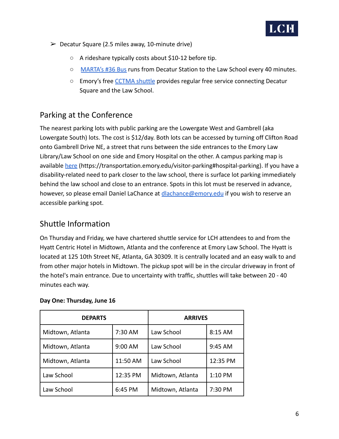

- $\triangleright$  Decatur Square (2.5 miles away, 10-minute drive)
	- A rideshare typically costs about \$10-12 before tip.
	- [MARTA's #36 Bus](https://itsmarta.com/36.aspx) runs from Decatur Station to the Law School every 40 minutes.
	- Emory's free [CCTMA shuttle](https://transportation.emory.edu/shuttles/cctma) provides regular free service connecting Decatur Square and the Law School.

# Parking at the Conference

The nearest parking lots with public parking are the Lowergate West and Gambrell (aka Lowergate South) lots. The cost is \$12/day. Both lots can be accessed by turning off Clifton Road onto Gambrell Drive NE, a street that runs between the side entrances to the Emory Law Library/Law School on one side and Emory Hospital on the other. A campus parking map is available [here](https://transportation.emory.edu/visitor-parking#hospital-parking) (https://transportation.emory.edu/visitor-parking#hospital-parking). If you have a disability-related need to park closer to the law school, there is surface lot parking immediately behind the law school and close to an entrance. Spots in this lot must be reserved in advance, however, so please email Daniel LaChance at [dlachance@emory.edu](mailto:dlachance@emory.edu) if you wish to reserve an accessible parking spot.

## Shuttle Information

On Thursday and Friday, we have chartered shuttle service for LCH attendees to and from the Hyatt Centric Hotel in Midtown, Atlanta and the conference at Emory Law School. The Hyatt is located at 125 10th Street NE, Atlanta, GA 30309. It is centrally located and an easy walk to and from other major hotels in Midtown. The pickup spot will be in the circular driveway in front of the hotel's main entrance. Due to uncertainty with traffic, shuttles will take between 20 - 40 minutes each way.

#### **Day One: Thursday, June 16**

| <b>DEPARTS</b>   |          | <b>ARRIVES</b>   |          |
|------------------|----------|------------------|----------|
| Midtown, Atlanta | 7:30 AM  | Law School       | 8:15 AM  |
| Midtown, Atlanta | 9:00 AM  | Law School       | 9:45 AM  |
| Midtown, Atlanta | 11:50 AM | Law School       | 12:35 PM |
| Law School       | 12:35 PM | Midtown, Atlanta | 1:10 PM  |
| Law School       | 6:45 PM  | Midtown, Atlanta | 7:30 PM  |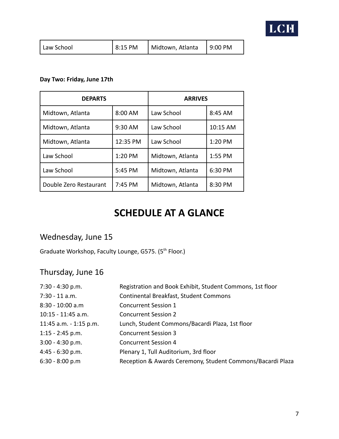

| Law School | $8:15$ PM | Midtown, Atlanta | $\vert$ 9:00 PM |
|------------|-----------|------------------|-----------------|
|------------|-----------|------------------|-----------------|

#### **Day Two: Friday, June 17th**

| <b>DEPARTS</b>         |          | <b>ARRIVES</b>   |          |
|------------------------|----------|------------------|----------|
| Midtown, Atlanta       | 8:00 AM  | Law School       | 8:45 AM  |
| Midtown, Atlanta       | 9:30 AM  | Law School       | 10:15 AM |
| Midtown, Atlanta       | 12:35 PM | Law School       | 1:20 PM  |
| Law School             | 1:20 PM  | Midtown, Atlanta | 1:55 PM  |
| Law School             | 5:45 PM  | Midtown, Atlanta | 6:30 PM  |
| Double Zero Restaurant | 7:45 PM  | Midtown, Atlanta | 8:30 PM  |

# **SCHEDULE AT A GLANCE**

# Wednesday, June 15

Graduate Workshop, Faculty Lounge, G575. (5<sup>th</sup> Floor.)

# Thursday, June 16

| Continental Breakfast, Student Commons<br>$7:30 - 11$ a.m.<br>8:30 - 10:00 a.m<br><b>Concurrent Session 1</b><br>$10:15 - 11:45$ a.m.<br><b>Concurrent Session 2</b><br>Lunch, Student Commons/Bacardi Plaza, 1st floor<br>11:45 a.m. - 1:15 p.m.<br>$1:15 - 2:45$ p.m.<br><b>Concurrent Session 3</b><br>$3:00 - 4:30$ p.m.<br><b>Concurrent Session 4</b><br>$4:45 - 6:30 p.m.$<br>Plenary 1, Tull Auditorium, 3rd floor<br>$6:30 - 8:00 p.m$ | $7:30 - 4:30$ p.m. | Registration and Book Exhibit, Student Commons, 1st floor  |
|-------------------------------------------------------------------------------------------------------------------------------------------------------------------------------------------------------------------------------------------------------------------------------------------------------------------------------------------------------------------------------------------------------------------------------------------------|--------------------|------------------------------------------------------------|
|                                                                                                                                                                                                                                                                                                                                                                                                                                                 |                    |                                                            |
|                                                                                                                                                                                                                                                                                                                                                                                                                                                 |                    |                                                            |
|                                                                                                                                                                                                                                                                                                                                                                                                                                                 |                    |                                                            |
|                                                                                                                                                                                                                                                                                                                                                                                                                                                 |                    |                                                            |
|                                                                                                                                                                                                                                                                                                                                                                                                                                                 |                    |                                                            |
|                                                                                                                                                                                                                                                                                                                                                                                                                                                 |                    |                                                            |
|                                                                                                                                                                                                                                                                                                                                                                                                                                                 |                    |                                                            |
|                                                                                                                                                                                                                                                                                                                                                                                                                                                 |                    | Reception & Awards Ceremony, Student Commons/Bacardi Plaza |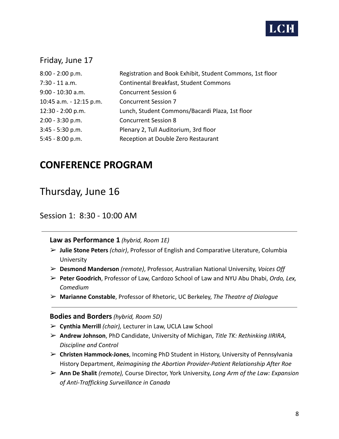

#### Friday, June 17

| $8:00 - 2:00 p.m.$      | Registration and Book Exhibit, Student Commons, 1st floor |
|-------------------------|-----------------------------------------------------------|
| $7:30 - 11$ a.m.        | Continental Breakfast, Student Commons                    |
| $9:00 - 10:30$ a.m.     | <b>Concurrent Session 6</b>                               |
| 10:45 a.m. - 12:15 p.m. | <b>Concurrent Session 7</b>                               |
| 12:30 - 2:00 p.m.       | Lunch, Student Commons/Bacardi Plaza, 1st floor           |
| $2:00 - 3:30$ p.m.      | <b>Concurrent Session 8</b>                               |
| $3:45 - 5:30$ p.m.      | Plenary 2, Tull Auditorium, 3rd floor                     |
| $5:45 - 8:00 p.m.$      | Reception at Double Zero Restaurant                       |

# **CONFERENCE PROGRAM**

# Thursday, June 16

#### Session 1: 8:30 - 10:00 AM

**Law as Performance 1** *(hybrid, Room 1E)*

- ➢ **Julie Stone Peters** *(chair)*, Professor of English and Comparative Literature, Columbia University
- ➢ **Desmond Manderson** *(remote)*, Professor, Australian National University, *Voices Off*
- ➢ **Peter Goodrich**, Professor of Law, Cardozo School of Law and NYU Abu Dhabi, *Ordo, Lex, Comedium*
- ➢ **Marianne Constable**, Professor of Rhetoric, UC Berkeley, *The Theatre of Dialogue*

#### **Bodies and Borders***(hybrid, Room 5D)*

- ➢ **Cynthia Merrill** *(chair),* Lecturer in Law, UCLA Law School
- ➢ **Andrew Johnson**, PhD Candidate, University of Michigan, *Title TK: Rethinking IIRIRA, Discipline and Control*
- ➢ **Christen Hammock-Jones**, Incoming PhD Student in History, University of Pennsylvania History Department, *Reimagining the Abortion Provider-Patient Relationship After Roe*
- ➢ **Ann De Shalit** *(remote),* Course Director, York University, *Long Arm of the Law: Expansion of Anti-Trafficking Surveillance in Canada*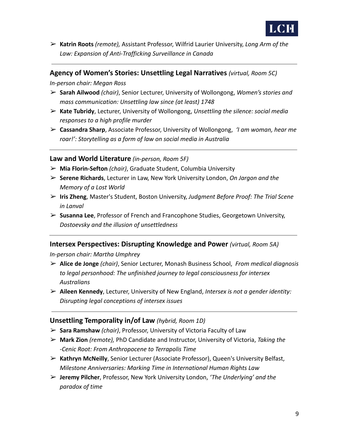

➢ **Katrin Roots** *(remote),* Assistant Professor, Wilfrid Laurier University, *Long Arm of the Law: Expansion of Anti-Trafficking Surveillance in Canada*

#### **Agency of Women's Stories: Unsettling Legal Narratives** *(virtual, Room 5C)*

*In-person chair: Megan Ross*

- ➢ **Sarah Ailwood** *(chair)*, Senior Lecturer, University of Wollongong, *Women's stories and mass communication: Unsettling law since (at least) 1748*
- ➢ **Kate Tubridy**, Lecturer, University of Wollongong, *Unsettling the silence: social media responses to a high profile murder*
- ➢ **Cassandra Sharp**, Associate Professor, University of Wollongong, *'I am woman, hear me roar!': Storytelling as a form of law on social media in Australia*

#### **Law and World Literature** *(in-person, Room 5F)*

- ➢ **Mia Florin-Sefton** *(chair)*, Graduate Student, Columbia University
- ➢ **Serene Richards**, Lecturer in Law, New York University London, *On Jargon and the Memory of a Lost World*
- ➢ **Iris Zheng**, Master's Student, Boston University, *Judgment Before Proof: The Trial Scene in Lanval*
- ➢ **Susanna Lee**, Professor of French and Francophone Studies, Georgetown University, *Dostoevsky and the illusion of unsettledness*

#### **Intersex Perspectives: Disrupting Knowledge and Power** *(virtual, Room 5A)*

*In-person chair: Martha Umphrey*

- ➢ **Alice de Jonge** *(chair)*, Senior Lecturer, Monash Business School, *From medical diagnosis to legal personhood: The unfinished journey to legal consciousness for intersex Australians*
- ➢ **Aileen Kennedy**, Lecturer, University of New England, *Intersex is not a gender identity: Disrupting legal conceptions of intersex issues*

#### **Unsettling Temporality in/of Law** *(hybrid, Room 1D)*

- ➢ **Sara Ramshaw** *(chair)*, Professor, University of Victoria Faculty of Law
- ➢ **Mark Zion** *(remote),* PhD Candidate and Instructor, University of Victoria, *Taking the -Cenic Root: From Anthropocene to Terrapolis Time*
- ➢ **Kathryn McNeilly**, Senior Lecturer (Associate Professor), Queen's University Belfast, *Milestone Anniversaries: Marking Time in International Human Rights Law*
- ➢ **Jeremy Pilcher**, Professor, New York University London, *'The Underlying' and the paradox of time*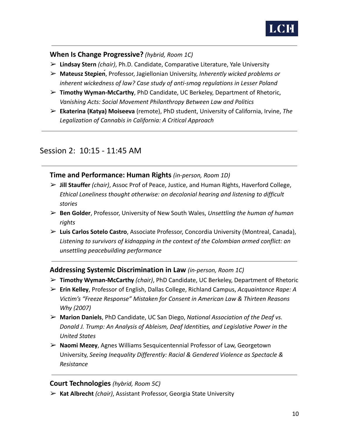

**When Is Change Progressive?** *(hybrid, Room 1C)*

- ➢ **Lindsay Stern** *(chair)*, Ph.D. Candidate, Comparative Literature, Yale University
- ➢ **Mateusz Stępień**, Professor, Jagiellonian University, *Inherently wicked problems or inherent wickedness of law? Case study of anti-smog regulations in Lesser Poland*
- ➢ **Timothy Wyman-McCarthy**, PhD Candidate, UC Berkeley, Department of Rhetoric, *Vanishing Acts: Social Movement Philanthropy Between Law and Politics*
- ➢ **Ekaterina (Katya) Moiseeva** (remote), PhD student, University of California, Irvine, *The Legalization of Cannabis in California: A Critical Approach*

## Session 2: 10:15 - 11:45 AM

#### **Time and Performance: Human Rights** *(in-person, Room 1D)*

- ➢ **Jill Stauffer** *(chair)*, Assoc Prof of Peace, Justice, and Human Rights, Haverford College, *Ethical Loneliness thought otherwise: on decolonial hearing and listening to difficult stories*
- ➢ **Ben Golder**, Professor, University of New South Wales, *Unsettling the human of human rights*
- ➢ **Luis Carlos Sotelo Castro**, Associate Professor, Concordia University (Montreal, Canada), *Listening to survivors of kidnapping in the context of the Colombian armed conflict: an unsettling peacebuilding performance*

#### **Addressing Systemic Discrimination in Law** *(in-person, Room 1C)*

- ➢ **Timothy Wyman-McCarthy** *(chair)*, PhD Candidate, UC Berkeley, Department of Rhetoric
- ➢ **Erin Kelley**, Professor of English, Dallas College, Richland Campus, *Acquaintance Rape: A Victim's "Freeze Response" Mistaken for Consent in American Law & Thirteen Reasons Why (2007)*
- ➢ **Marion Daniels**, PhD Candidate, UC San Diego, *National Association of the Deaf vs. Donald J. Trump: An Analysis of Ableism, Deaf Identities, and Legislative Power in the United States*
- ➢ **Naomi Mezey**, Agnes Williams Sesquicentennial Professor of Law, Georgetown University, *Seeing Inequality Differently: Racial & Gendered Violence as Spectacle & Resistance*

#### **Court Technologies** *(hybrid, Room 5C)*

➢ **Kat Albrecht** *(chair)*, Assistant Professor, Georgia State University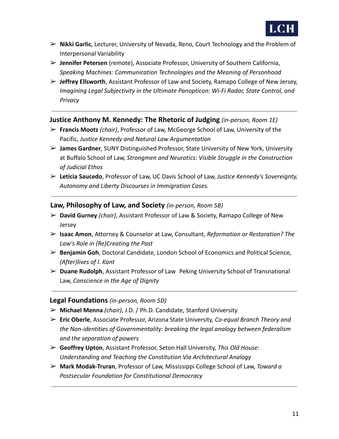

- ➢ **Nikki Garlic**, Lecturer, University of Nevada, Reno, Court Technology and the Problem of Interpersonal Variability
- ➢ **Jennifer Petersen** (remote), Associate Professor, University of Southern California, *Speaking Machines: Communication Technologies and the Meaning of Personhood*
- ➢ **Jeffrey Ellsworth**, Assistant Professor of Law and Society, Ramapo College of New Jersey, *Imagining Legal Subjectivity in the Ultimate Panopticon: Wi-Fi Radar, State Control, and Privacy*

#### **Justice Anthony M. Kennedy: The Rhetoric of Judging** *(in-person, Room 1E)*

- ➢ **Francis Mootz** *(chair)*, Professor of Law, McGeorge School of Law, University of the Pacific, *Justice Kennedy and Natural Law Argumentation*
- ➢ **James Gardner**, SUNY Distinguished Professor, State University of New York, University at Buffalo School of Law, *Strongmen and Neurotics: Visible Struggle in the Construction of Judicial Ethos*
- ➢ **Leticia Saucedo**, Professor of Law, UC Davis School of Law, *Justice Kennedy's Sovereignty, Autonomy and Liberty Discourses in Immigration Cases.*

#### **Law, Philosophy of Law, and Society** *(in-person, Room 5B)*

- ➢ **David Gurney** *(chair)*, Assistant Professor of Law & Society, Ramapo College of New Jersey
- ➢ **Isaac Amon**, Attorney & Counselor at Law, Consultant, *Reformation or Restoration? The Law's Role in (Re)Creating the Past*
- ➢ **Benjamin Goh**, Doctoral Candidate, London School of Economics and Political Science, *(After)lives of I. Kant*
- ➢ **Duane Rudolph**, Assistant Professor of Law Peking University School of Transnational Law, *Conscience in the Age of Dignity*

#### **Legal Foundations** *(in-person, Room 5D)*

- ➢ **Michael Menna** *(chair)*, J.D. / Ph.D. Candidate, Stanford University
- ➢ **Eric Oberle**, Associate Professor, Arizona State University, *Co-equal Branch Theory and the Non-identities of Governmentality: breaking the legal analogy between federalism and the separation of powers*
- ➢ **Geoffrey Upton**, Assistant Professor, Seton Hall University, *This Old House: Understanding and Teaching the Constitution Via Architectural Analogy*
- ➢ **Mark Modak-Truran**, Professor of Law, Mississippi College School of Law, *Toward a Postsecular Foundation for Constitutional Democracy*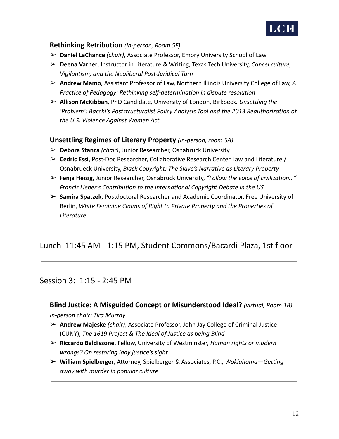

#### **Rethinking Retribution** *(in-person, Room 5F)*

- ➢ **Daniel LaChance** *(chair)*, Associate Professor, Emory University School of Law
- ➢ **Deena Varner**, Instructor in Literature & Writing, Texas Tech University, *Cancel culture, Vigilantism, and the Neoliberal Post-Juridical Turn*
- ➢ **Andrew Mamo**, Assistant Professor of Law, Northern Illinois University College of Law, *A Practice of Pedagogy: Rethinking self-determination in dispute resolution*
- ➢ **Allison McKibban**, PhD Candidate, University of London, Birkbeck*, Unsettling the 'Problem': Bacchi's Poststructuralist Policy Analysis Tool and the 2013 Reauthorization of the U.S. Violence Against Women Act*

#### **Unsettling Regimes of Literary Property** *(in-person, room 5A)*

- ➢ **Debora Stanca** *(chair)*, Junior Researcher, Osnabrück University
- ➢ **Cedric Essi**, Post-Doc Researcher, Collaborative Research Center Law and Literature / Osnabrueck University, *Black Copyright: The Slave's Narrative as Literary Property*
- ➢ **Fenja Heisig**, Junior Researcher, Osnabrück University, *"Follow the voice of civilization..." Francis Lieber's Contribution to the International Copyright Debate in the US*
- ➢ **Samira Spatzek**, Postdoctoral Researcher and Academic Coordinator, Free University of Berlin, *White Feminine Claims of Right to Private Property and the Properties of Literature*

## Lunch 11:45 AM - 1:15 PM, Student Commons/Bacardi Plaza, 1st floor

#### Session 3: 1:15 - 2:45 PM

**Blind Justice: A Misguided Concept or Misunderstood Ideal?** *(virtual, Room 1B) In-person chair: Tira Murray*

- ➢ **Andrew Majeske** *(chair)*, Associate Professor, John Jay College of Criminal Justice (CUNY), *The 1619 Project & The Ideal of Justice as being Blind*
- ➢ **Riccardo Baldissone**, Fellow, University of Westminster, *Human rights or modern wrongs? On restoring lady justice's sight*
- ➢ **William Spielberger**, Attorney, Spielberger & Associates, P.C., *Woklahoma—Getting away with murder in popular culture*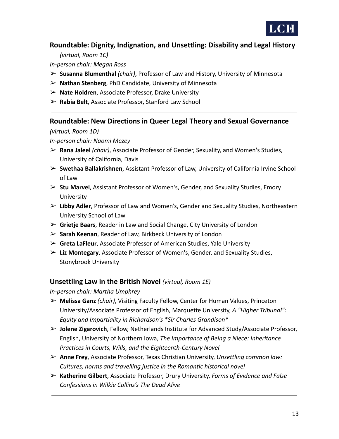

#### **Roundtable: Dignity, Indignation, and Unsettling: Disability and Legal History**

*(virtual, Room 1C)*

*In-person chair: Megan Ross*

- ➢ **Susanna Blumenthal** *(chair)*, Professor of Law and History, University of Minnesota
- ➢ **Nathan Stenberg**, PhD Candidate, University of Minnesota
- ➢ **Nate Holdren**, Associate Professor, Drake University
- ➢ **Rabia Belt**, Associate Professor, Stanford Law School

#### **Roundtable: New Directions in Queer Legal Theory and Sexual Governance**

*(virtual, Room 1D)*

*In-person chair: Naomi Mezey*

- ➢ **Rana Jaleel** *(chair)*, Associate Professor of Gender, Sexuality, and Women's Studies, University of California, Davis
- ➢ **Swethaa Ballakrishnen**, Assistant Professor of Law, University of California Irvine School of Law
- ➢ **Stu Marvel**, Assistant Professor of Women's, Gender, and Sexuality Studies, Emory University
- ➢ **Libby Adler**, Professor of Law and Women's, Gender and Sexuality Studies, Northeastern University School of Law
- ➢ **Grietje Baars**, Reader in Law and Social Change, City University of London
- ➢ **Sarah Keenan**, Reader of Law, Birkbeck University of London
- ➢ **Greta LaFleur**, Associate Professor of American Studies, Yale University
- ➢ **Liz Montegary**, Associate Professor of Women's, Gender, and Sexuality Studies, Stonybrook University

#### **Unsettling Law in the British Novel** *(virtual, Room 1E)*

*In-person chair: Martha Umphrey*

- ➢ **Melissa Ganz** *(chair)*, Visiting Faculty Fellow, Center for Human Values, Princeton University/Associate Professor of English, Marquette University, *A "Higher Tribunal": Equity and Impartiality in Richardson's \*Sir Charles Grandison\**
- ➢ **Jolene Zigarovich**, Fellow, Netherlands Institute for Advanced Study/Associate Professor, English, University of Northern Iowa, *The Importance of Being a Niece: Inheritance Practices in Courts, Wills, and the Eighteenth-Century Novel*
- ➢ **Anne Frey**, Associate Professor, Texas Christian University, *Unsettling common law: Cultures, norms and travelling justice in the Romantic historical novel*
- ➢ **Katherine Gilbert**, Associate Professor, Drury University, *Forms of Evidence and False Confessions in Wilkie Collins's The Dead Alive*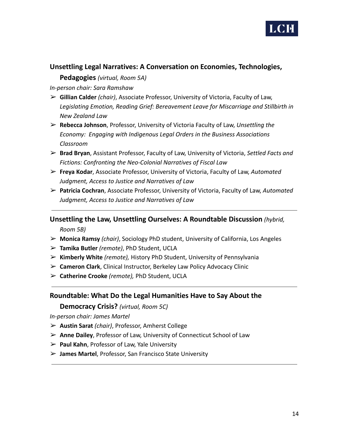

#### **Unsettling Legal Narratives: A Conversation on Economies, Technologies,**

**Pedagogies** *(virtual, Room 5A)*

*In-person chair: Sara Ramshaw*

- ➢ **Gillian Calder** *(chair)*, Associate Professor, University of Victoria, Faculty of Law, *Legislating Emotion, Reading Grief: Bereavement Leave for Miscarriage and Stillbirth in New Zealand Law*
- ➢ **Rebecca Johnson**, Professor, University of Victoria Faculty of Law, *Unsettling the Economy: Engaging with Indigenous Legal Orders in the Business Associations Classroom*
- ➢ **Brad Bryan**, Assistant Professor, Faculty of Law, University of Victoria, *Settled Facts and Fictions: Confronting the Neo-Colonial Narratives of Fiscal Law*
- ➢ **Freya Kodar**, Associate Professor, University of Victoria, Faculty of Law, *Automated Judgment, Access to Justice and Narratives of Law*
- ➢ **Patricia Cochran**, Associate Professor, University of Victoria, Faculty of Law, *Automated Judgment, Access to Justice and Narratives of Law*

**Unsettling the Law, Unsettling Ourselves: A Roundtable Discussion** *(hybrid,*

*Room 5B)*

- ➢ **Monica Ramsy** *(chair)*, Sociology PhD student, University of California, Los Angeles
- ➢ **Tamika Butler** *(remote)*, PhD Student, UCLA
- ➢ **Kimberly White** *(remote),* History PhD Student, University of Pennsylvania
- ➢ **Cameron Clark**, Clinical Instructor, Berkeley Law Policy Advocacy Clinic
- ➢ **Catherine Crooke** *(remote),* PhD Student, UCLA

#### **Roundtable: What Do the Legal Humanities Have to Say About the**

**Democracy Crisis?** *(virtual, Room 5C)*

*In-person chair: James Martel*

- ➢ **Austin Sarat** *(chair)*, Professor, Amherst College
- ➢ **Anne Dailey**, Professor of Law, University of Connecticut School of Law
- ➢ **Paul Kahn**, Professor of Law, Yale University
- ➢ **James Martel**, Professor, San Francisco State University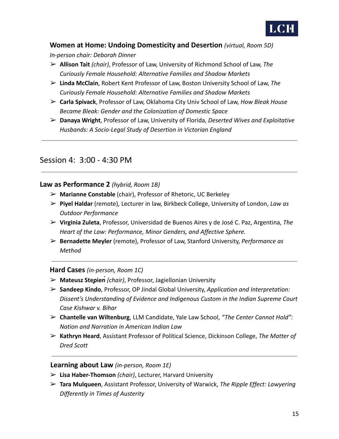

#### **Women at Home: Undoing Domesticity and Desertion** *(virtual, Room 5D)*

*In-person chair: Deborah Dinner*

- ➢ **Allison Tait** *(chair)*, Professor of Law, University of Richmond School of Law, *The Curiously Female Household: Alternative Families and Shadow Markets*
- ➢ **Linda McClain**, Robert Kent Professor of Law, Boston University School of Law, *The Curiously Female Household: Alternative Families and Shadow Markets*
- ➢ **Carla Spivack**, Professor of Law, Oklahoma City Univ School of Law, *How Bleak House Became Bleak: Gender and the Colonization of Domestic Space*
- ➢ **Danaya Wright**, Professor of Law, University of Florida, *Deserted Wives and Exploitative Husbands: A Socio-Legal Study of Desertion in Victorian England*

## Session 4: 3:00 - 4:30 PM

#### **Law as Performance 2** *(hybrid, Room 1B)*

- ➢ **Marianne Constable** (chair), Professor of Rhetoric, UC Berkeley
- ➢ **Piyel Haldar** (remote), Lecturer in law, Birkbeck College, University of London, *Law as Outdoor Performance*
- ➢ **Virginia Zuleta**, Professor, Universidad de Buenos Aires y de José C. Paz, Argentina, *The Heart of the Law: Performance, Minor Genders, and Affective Sphere.*
- ➢ **Bernadette Meyler** (remote), Professor of Law, Stanford University, *Performance as Method*

#### **Hard Cases** *(in-person, Room 1C)*

- ➢ **Mateusz Stępień***(chair)*, Professor, Jagiellonian University
- ➢ **Sandeep Kindo**, Professor, OP Jindal Global University, *Application and Interpretation: Dissent's Understanding of Evidence and Indigenous Custom in the Indian Supreme Court Case Kishwar v. Bihar*
- ➢ **Chantelle van Wiltenburg**, LLM Candidate, Yale Law School, *"The Center Cannot Hold": Nation and Narration in American Indian Law*
- ➢ **Kathryn Heard**, Assistant Professor of Political Science, Dickinson College, *The Matter of Dred Scott*

#### **Learning about Law** *(in-person, Room 1E)*

- ➢ **Lisa Haber-Thomson** *(chair)*, Lecturer, Harvard University
- ➢ **Tara Mulqueen**, Assistant Professor, University of Warwick, *The Ripple Effect: Lawyering Differently in Times of Austerity*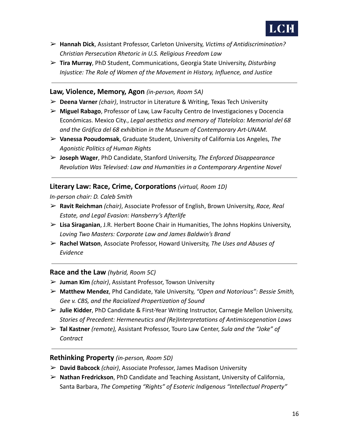

- ➢ **Hannah Dick**, Assistant Professor, Carleton University, *Victims of Antidiscrimination? Christian Persecution Rhetoric in U.S. Religious Freedom Law*
- ➢ **Tira Murray**, PhD Student, Communications, Georgia State University, *Disturbing Injustice: The Role of Women of the Movement in History, Influence, and Justice*

#### **Law, Violence, Memory, Agon** *(in-person, Room 5A)*

- ➢ **Deena Varner** *(chair)*, Instructor in Literature & Writing, Texas Tech University
- ➢ **Miguel Rabago**, Professor of Law, Law Faculty Centro de Investigaciones y Docencia Económicas. Mexico City., *Legal aesthetics and memory of Tlatelolco: Memorial del 68 and the Gráfica del 68 exhibition in the Museum of Contemporary Art-UNAM.*
- ➢ **Vanessa Pooudomsak**, Graduate Student, University of California Los Angeles, *The Agonistic Politics of Human Rights*
- ➢ **Joseph Wager**, PhD Candidate, Stanford University, *The Enforced Disappearance Revolution Was Televised: Law and Humanities in a Contemporary Argentine Novel*

#### **Literary Law: Race, Crime, Corporations** *(virtual, Room 1D)*

*In-person chair: D. Caleb Smith*

- ➢ **Ravit Reichman** *(chair)*, Associate Professor of English, Brown University, *Race, Real Estate, and Legal Evasion: Hansberry's Afterlife*
- ➢ **Lisa Siraganian**, J.R. Herbert Boone Chair in Humanities, The Johns Hopkins University, *Loving Two Masters: Corporate Law and James Baldwin's Brand*
- ➢ **Rachel Watson**, Associate Professor, Howard University, *The Uses and Abuses of Evidence*

#### **Race and the Law** *(hybrid, Room 5C)*

- ➢ **Juman Kim** *(chair)*, Assistant Professor, Towson University
- ➢ **Matthew Mendez**, Phd Candidate, Yale University, *"Open and Notorious": Bessie Smith, Gee v. CBS, and the Racialized Propertization of Sound*
- ➢ **Julie Kidder**, PhD Candidate & First-Year Writing Instructor, Carnegie Mellon University, *Stories of Precedent: Hermeneutics and (Re)Interpretations of Antimiscegenation Laws*
- ➢ **Tal Kastner** *(remote),* Assistant Professor, Touro Law Center, *Sula and the "Joke" of Contract*

#### **Rethinking Property** *(in-person, Room 5D)*

- ➢ **David Babcock** *(chair)*, Associate Professor, James Madison University
- ➢ **Nathan Fredrickson**, PhD Candidate and Teaching Assistant, University of California, Santa Barbara, *The Competing "Rights" of Esoteric Indigenous "Intellectual Property"*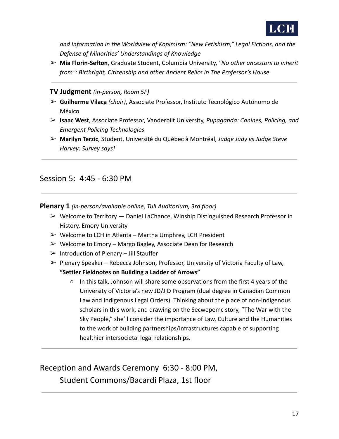

*and Information in the Worldview of Kopimism: "New Fetishism," Legal Fictions, and the Defense of Minorities' Understandings of Knowledge*

➢ **Mia Florin-Sefton**, Graduate Student, Columbia University, *"No other ancestors to inherit from": Birthright, Citizenship and other Ancient Relics in The Professor's House*

**TV Judgment** *(in-person, Room 5F)*

- ➢ **Guilherme Vilaça** *(chair)*, Associate Professor, Instituto Tecnológico Autónomo de México
- ➢ **Isaac West**, Associate Professor, Vanderbilt University, *Pupaganda: Canines, Policing, and Emergent Policing Technologies*
- ➢ **Marilyn Terzic**, Student, Université du Québec à Montréal, *Judge Judy vs Judge Steve Harvey: Survey says!*

## Session 5: 4:45 - 6:30 PM

**Plenary 1** *(in-person/available online, Tull Auditorium, 3rd floor)*

- $\triangleright$  Welcome to Territory  $-$  Daniel LaChance, Winship Distinguished Research Professor in History, Emory University
- $\triangleright$  Welcome to LCH in Atlanta Martha Umphrey, LCH President
- $\triangleright$  Welcome to Emory Margo Bagley, Associate Dean for Research
- $\triangleright$  Introduction of Plenary Jill Stauffer
- $\triangleright$  Plenary Speaker Rebecca Johnson, Professor, University of Victoria Faculty of Law, **"Settler Fieldnotes on Building a Ladder of Arrows"**
	- $\circ$  In this talk, Johnson will share some observations from the first 4 years of the University of Victoria's new JD/JID Program (dual degree in Canadian Common Law and Indigenous Legal Orders). Thinking about the place of non-Indigenous scholars in this work, and drawing on the Secwepemc story, "The War with the Sky People," she'll consider the importance of Law, Culture and the Humanities to the work of building partnerships/infrastructures capable of supporting healthier intersocietal legal relationships.

Reception and Awards Ceremony 6:30 - 8:00 PM, Student Commons/Bacardi Plaza, 1st floor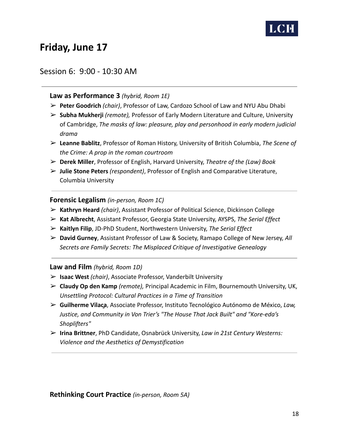

# **Friday, June 17**

#### Session 6: 9:00 - 10:30 AM

#### **Law as Performance 3** *(hybrid, Room 1E)*

- ➢ **Peter Goodrich** *(chair)*, Professor of Law, Cardozo School of Law and NYU Abu Dhabi
- ➢ **Subha Mukherji** *(remote),* Professor of Early Modern Literature and Culture, University of Cambridge, *The masks of law: pleasure, play and personhood in early modern judicial drama*
- ➢ **Leanne Bablitz**, Professor of Roman History, University of British Columbia, *The Scene of the Crime: A prop in the roman courtroom*
- ➢ **Derek Miller**, Professor of English, Harvard University, *Theatre of the (Law) Book*
- ➢ **Julie Stone Peters** *(respondent)*, Professor of English and Comparative Literature, Columbia University

#### **Forensic Legalism** *(in-person, Room 1C)*

- ➢ **Kathryn Heard** *(chair)*, Assistant Professor of Political Science, Dickinson College
- ➢ **Kat Albrecht**, Assistant Professor, Georgia State University, AYSPS, *The Serial Effect*
- ➢ **Kaitlyn Filip**, JD-PhD Student, Northwestern University, *The Serial Effect*
- ➢ **David Gurney**, Assistant Professor of Law & Society, Ramapo College of New Jersey, *All Secrets are Family Secrets: The Misplaced Critique of Investigative Genealogy*

#### **Law and Film** *(hybrid, Room 1D)*

- ➢ **Isaac West** *(chair)*, Associate Professor, Vanderbilt University
- ➢ **Claudy Op den Kamp** *(remote),* Principal Academic in Film, Bournemouth University, UK, *Unsettling Protocol: Cultural Practices in a Time of Transition*
- ➢ **Guilherme Vilaça**, Associate Professor, Instituto Tecnológico Autónomo de México, *Law, Justice, and Community in Von Trier's "The House That Jack Built" and "Kore-eda's Shoplifters"*
- ➢ **Irina Brittner**, PhD Candidate, Osnabrück University, *Law in 21st Century Westerns: Violence and the Aesthetics of Demystification*

**Rethinking Court Practice** *(in-person, Room 5A)*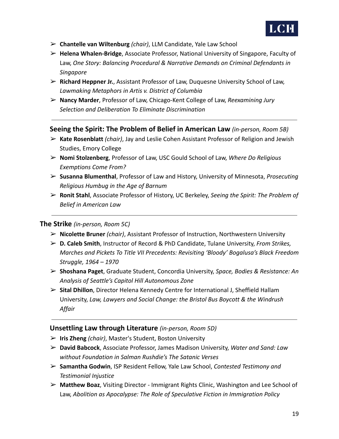

- ➢ **Chantelle van Wiltenburg** *(chair)*, LLM Candidate, Yale Law School
- ➢ **Helena Whalen-Bridge**, Associate Professor, National University of Singapore, Faculty of Law, *One Story: Balancing Procedural & Narrative Demands on Criminal Defendants in Singapore*
- ➢ **Richard Heppner Jr.**, Assistant Professor of Law, Duquesne University School of Law, *Lawmaking Metaphors in Artis v. District of Columbia*
- ➢ **Nancy Marder**, Professor of Law, Chicago-Kent College of Law, *Reexamining Jury Selection and Deliberation To Eliminate Discrimination*

#### **Seeing the Spirit: The Problem of Belief in American Law** *(in-person, Room 5B)*

- ➢ **Kate Rosenblatt** *(chair)*, Jay and Leslie Cohen Assistant Professor of Religion and Jewish Studies, Emory College
- ➢ **Nomi Stolzenberg**, Professor of Law, USC Gould School of Law, *Where Do Religious Exemptions Come From?*
- ➢ **Susanna Blumenthal**, Professor of Law and History, University of Minnesota, *Prosecuting Religious Humbug in the Age of Barnum*
- ➢ **Ronit Stahl**, Associate Professor of History, UC Berkeley, *Seeing the Spirit: The Problem of Belief in American Law*

#### **The Strike** *(in-person, Room 5C)*

- ➢ **Nicolette Bruner** *(chair)*, Assistant Professor of Instruction, Northwestern University
- ➢ **D. Caleb Smith**, Instructor of Record & PhD Candidate, Tulane University, *From Strikes, Marches and Pickets To Title VII Precedents: Revisiting 'Bloody' Bogalusa's Black Freedom Struggle, 1964 – 1970*
- ➢ **Shoshana Paget**, Graduate Student, Concordia University, *Space, Bodies & Resistance: An Analysis of Seattle's Capitol Hill Autonomous Zone*
- ➢ **Sital Dhillon**, Director Helena Kennedy Centre for International J, Sheffield Hallam University, *Law, Lawyers and Social Change: the Bristol Bus Boycott & the Windrush Affair*

#### **Unsettling Law through Literature** *(in-person, Room 5D)*

- ➢ **Iris Zheng** *(chair)*, Master's Student, Boston University
- ➢ **David Babcock**, Associate Professor, James Madison University, *Water and Sand: Law without Foundation in Salman Rushdie's The Satanic Verses*
- ➢ **Samantha Godwin**, ISP Resident Fellow, Yale Law School, *Contested Testimony and Testimonial Injustice*
- ➢ **Matthew Boaz**, Visiting Director Immigrant Rights Clinic, Washington and Lee School of Law, *Abolition as Apocalypse: The Role of Speculative Fiction in Immigration Policy*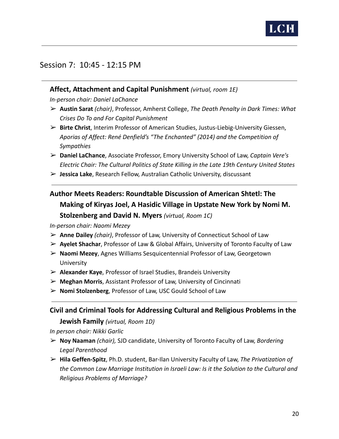

## Session 7: 10:45 - 12:15 PM

#### **Affect, Attachment and Capital Punishment** *(virtual, room 1E)*

*In-person chair: Daniel LaChance*

- ➢ **Austin Sarat** *(chair)*, Professor, Amherst College, *The Death Penalty in Dark Times: What Crises Do To and For Capital Punishment*
- ➢ **Birte Christ**, Interim Professor of American Studies, Justus-Liebig-University Giessen, *Aporias of Affect: René Denfield's "The Enchanted" (2014) and the Competition of Sympathies*
- ➢ **Daniel LaChance**, Associate Professor, Emory University School of Law, *Captain Vere's Electric Chair: The Cultural Politics of State Killing in the Late 19th Century United States*
- ➢ **Jessica Lake**, Research Fellow, Australian Catholic University, discussant

# **Author Meets Readers: Roundtable Discussion of American Shtetl: The Making of Kiryas Joel, A Hasidic Village in Upstate New York by Nomi M. Stolzenberg and David N. Myers** *(virtual, Room 1C)*

*In-person chair: Naomi Mezey*

- ➢ **Anne Dailey** *(chair)*, Professor of Law, University of Connecticut School of Law
- ➢ **Ayelet Shachar**, Professor of Law & Global Affairs, University of Toronto Faculty of Law
- ➢ **Naomi Mezey**, Agnes Williams Sesquicentennial Professor of Law, Georgetown University
- ➢ **Alexander Kaye**, Professor of Israel Studies, Brandeis University
- ➢ **Meghan Morris**, Assistant Professor of Law, University of Cincinnati
- ➢ **Nomi Stolzenberg**, Professor of Law, USC Gould School of Law

#### **Civil and Criminal Tools for Addressing Cultural and Religious Problems in the**

**Jewish Family** *(virtual, Room 1D)*

*In person chair: Nikki Garlic*

- ➢ **Noy Naaman** *(chair),* SJD candidate, University of Toronto Faculty of Law, *Bordering Legal Parenthood*
- ➢ **Hila Geffen-Spitz**, Ph.D. student, Bar-Ilan University Faculty of Law, *The Privatization of the Common Law Marriage Institution in Israeli Law: Is it the Solution to the Cultural and Religious Problems of Marriage?*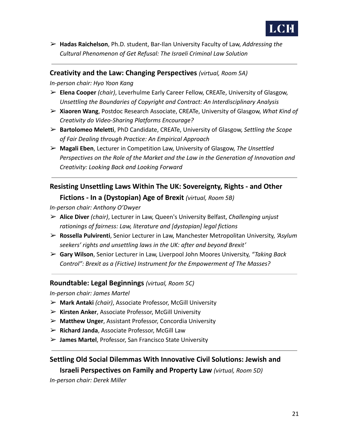

➢ **Hadas Raichelson**, Ph.D. student, Bar-Ilan University Faculty of Law, *Addressing the Cultural Phenomenon of Get Refusal: The Israeli Criminal Law Solution*

#### **Creativity and the Law: Changing Perspectives** *(virtual, Room 5A)*

*In-person chair: Hyo Yoon Kang*

- ➢ **Elena Cooper** *(chair)*, Leverhulme Early Career Fellow, CREATe, University of Glasgow, *Unsettling the Boundaries of Copyright and Contract: An Interdisciplinary Analysis*
- ➢ **Xiaoren Wang**, Postdoc Research Associate, CREATe, University of Glasgow, *What Kind of Creativity do Video-Sharing Platforms Encourage?*
- ➢ **Bartolomeo Meletti**, PhD Candidate, CREATe, University of Glasgow, *Settling the Scope of Fair Dealing through Practice: An Empirical Approach*
- ➢ **Magali Eben**, Lecturer in Competition Law, University of Glasgow, *The Unsettled Perspectives on the Role of the Market and the Law in the Generation of Innovation and Creativity: Looking Back and Looking Forward*

# **Resisting Unsettling Laws Within The UK: Sovereignty, Rights - and Other Fictions - In a (Dystopian) Age of Brexit** *(virtual, Room 5B)*

*In-person chair: Anthony O'Dwyer*

- ➢ **Alice Diver** *(chair)*, Lecturer in Law, Queen's University Belfast, *Challenging unjust rationings of fairness: Law, literature and [dystopian] legal fictions*
- ➢ **Rossella Pulvirenti**, Senior Lecturer in Law, Manchester Metropolitan University, *'Asylum seekers' rights and unsettling laws in the UK: after and beyond Brexit'*
- ➢ **Gary Wilson**, Senior Lecturer in Law, Liverpool John Moores University, *"Taking Back Control": Brexit as a (Fictive) Instrument for the Empowerment of The Masses?*

#### **Roundtable: Legal Beginnings** *(virtual, Room 5C)*

*In-person chair: James Martel*

- ➢ **Mark Antaki** *(chair)*, Associate Professor, McGill University
- ➢ **Kirsten Anker**, Associate Professor, McGill University
- ➢ **Matthew Unger**, Assistant Professor, Concordia University
- ➢ **Richard Janda**, Associate Professor, McGill Law
- ➢ **James Martel**, Professor, San Francisco State University

## **Settling Old Social Dilemmas With Innovative Civil Solutions: Jewish and Israeli Perspectives on Family and Property Law** *(virtual, Room 5D)*

*In-person chair: Derek Miller*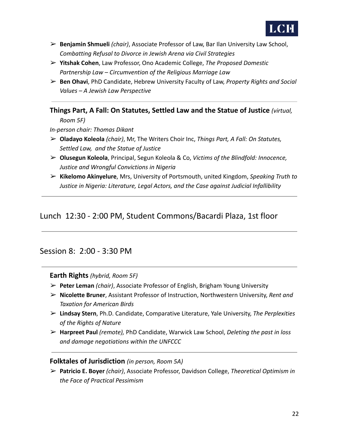

- ➢ **Benjamin Shmueli** *(chair)*, Associate Professor of Law, Bar Ilan University Law School, *Combatting Refusal to Divorce in Jewish Arena via Civil Strategies*
- ➢ **Yitshak Cohen**, Law Professor, Ono Academic College, *The Proposed Domestic Partnership Law – Circumvention of the Religious Marriage Law*
- ➢ **Ben Ohavi**, PhD Candidate, Hebrew University Faculty of Law, *Property Rights and Social Values – A Jewish Law Perspective*

#### **Things Part, A Fall: On Statutes, Settled Law and the Statue of Justice** *(virtual,*

*Room 5F)*

*In-person chair: Thomas Dikant*

- ➢ **Oladayo Koleola** *(chair)*, Mr, The Writers Choir Inc, *Things Part, A Fall: On Statutes, Settled Law, and the Statue of Justice*
- ➢ **Olusegun Koleola**, Principal, Segun Koleola & Co, *Victims of the Blindfold: Innocence, Justice and Wrongful Convictions in Nigeria*
- ➢ **Kikelomo Akinyelure**, Mrs, University of Portsmouth, united Kingdom, *Speaking Truth to Justice in Nigeria: Literature, Legal Actors, and the Case against Judicial Infallibility*

## Lunch 12:30 - 2:00 PM, Student Commons/Bacardi Plaza, 1st floor

#### Session 8: 2:00 - 3:30 PM

#### **Earth Rights** *(hybrid, Room 5F)*

- ➢ **Peter Leman** *(chair)*, Associate Professor of English, Brigham Young University
- ➢ **Nicolette Bruner**, Assistant Professor of Instruction, Northwestern University, *Rent and Taxation for American Birds*
- ➢ **Lindsay Stern**, Ph.D. Candidate, Comparative Literature, Yale University, *The Perplexities of the Rights of Nature*
- ➢ **Harpreet Paul** *(remote),* PhD Candidate, Warwick Law School, *Deleting the past in loss and damage negotiations within the UNFCCC*

#### **Folktales of Jurisdiction** *(in person, Room 5A)*

➢ **Patricio E. Boyer** *(chair)*, Associate Professor, Davidson College, *Theoretical Optimism in the Face of Practical Pessimism*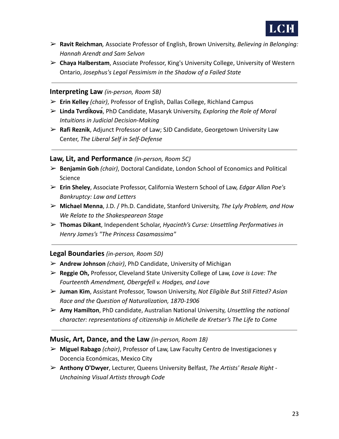

- ➢ **Ravit Reichman***,* Associate Professor of English, Brown University, *Believing in Belonging: Hannah Arendt and Sam Selvon*
- ➢ **Chaya Halberstam**, Associate Professor, King's University College, University of Western Ontario, *Josephus's Legal Pessimism in the Shadow of a Failed State*

#### **Interpreting Law** *(in-person, Room 5B)*

- ➢ **Erin Kelley** *(chair)*, Professor of English, Dallas College, Richland Campus
- ➢ **Linda Tvrdíková**, PhD Candidate, Masaryk University, *Exploring the Role of Moral Intuitions in Judicial Decision-Making*
- ➢ **Rafi Reznik**, Adjunct Professor of Law; SJD Candidate, Georgetown University Law Center, *The Liberal Self in Self-Defense*

#### **Law, Lit, and Performance** *(in-person, Room 5C)*

- ➢ **Benjamin Goh** *(chair)*, Doctoral Candidate, London School of Economics and Political Science
- ➢ **Erin Sheley**, Associate Professor, California Western School of Law, *Edgar Allan Poe's Bankruptcy: Law and Letters*
- ➢ **Michael Menna**, J.D. / Ph.D. Candidate, Stanford University, *The Lyly Problem, and How We Relate to the Shakespearean Stage*
- ➢ **Thomas Dikant**, Independent Scholar, *Hyacinth's Curse: Unsettling Performatives in Henry James's "The Princess Casamassima"*

#### **Legal Boundaries** *(in-person, Room 5D)*

- ➢ **Andrew Johnson** *(chair)*, PhD Candidate, University of Michigan
- ➢ **Reggie Oh,** Professor, Cleveland State University College of Law, *Love is Love: The Fourteenth Amendment, Obergefell v. Hodges, and Love*
- ➢ **Juman Kim**, Assistant Professor, Towson University, *Not Eligible But Still Fitted? Asian Race and the Question of Naturalization, 1870-1906*
- ➢ **Amy Hamilton**, PhD candidate, Australian National University, *Unsettling the national character: representations of citizenship in Michelle de Kretser's The Life to Come*

#### **Music, Art, Dance, and the Law** *(in-person, Room 1B)*

- ➢ **Miguel Rabago** *(chair)*, Professor of Law, Law Faculty Centro de Investigaciones y Docencia Económicas, Mexico City
- ➢ **Anthony O'Dwyer**, Lecturer, Queens University Belfast, *The Artists' Resale Right - Unchaining Visual Artists through Code*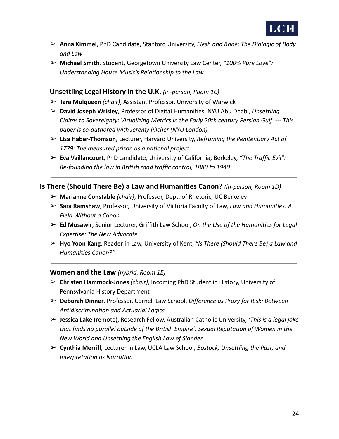

- ➢ **Anna Kimmel**, PhD Candidate, Stanford University, *Flesh and Bone: The Dialogic of Body and Law*
- ➢ **Michael Smith**, Student, Georgetown University Law Center, *"100% Pure Love": Understanding House Music's Relationship to the Law*

**Unsettling Legal History in the U.K.** *(in-person, Room 1C)*

- ➢ **Tara Mulqueen** *(chair)*, Assistant Professor, University of Warwick
- ➢ **David Joseph Wrisley**, Professor of Digital Humanities, NYU Abu Dhabi, *Unsettling Claims to Sovereignty: Visualizing Metrics in the Early 20th century Persian Gulf --- This paper is co-authored with Jeremy Pilcher (NYU London).*
- ➢ **Lisa Haber-Thomson**, Lecturer, Harvard University, *Reframing the Penitentiary Act of 1779: The measured prison as a national project*
- ➢ **Eva Vaillancourt**, PhD candidate, University of California, Berkeley, *"The Traffic Evil": Re-founding the law in British road traffic control, 1880 to 1940*

#### **Is There (Should There Be) a Law and Humanities Canon?** *(in-person, Room 1D)*

- ➢ **Marianne Constable** *(chair)*, Professor, Dept. of Rhetoric, UC Berkeley
- ➢ **Sara Ramshaw**, Professor, University of Victoria Faculty of Law, *Law and Humanities: A Field Without a Canon*
- ➢ **Ed Musawir**, Senior Lecturer, Griffith Law School, *On the Use of the Humanities for Legal Expertise: The New Advocate*
- ➢ **Hyo Yoon Kang**, Reader in Law, University of Kent, *"Is There (Should There Be) a Law and Humanities Canon?"*

#### **Women and the Law** *(hybrid, Room 1E)*

- ➢ **Christen Hammock-Jones** *(chair)*, Incoming PhD Student in History, University of Pennsylvania History Department
- ➢ **Deborah Dinner**, Professor, Cornell Law School, *Difference as Proxy for Risk: Between Antidiscrimination and Actuarial Logics*
- ➢ **Jessica Lake** (remote), Research Fellow, Australian Catholic University, *'This is a legal joke that finds no parallel outside of the British Empire': Sexual Reputation of Women in the New World and Unsettling the English Law of Slander*
- ➢ **Cynthia Merrill**, Lecturer in Law, UCLA Law School, *Bostock, Unsettling the Past, and Interpretation as Narration*